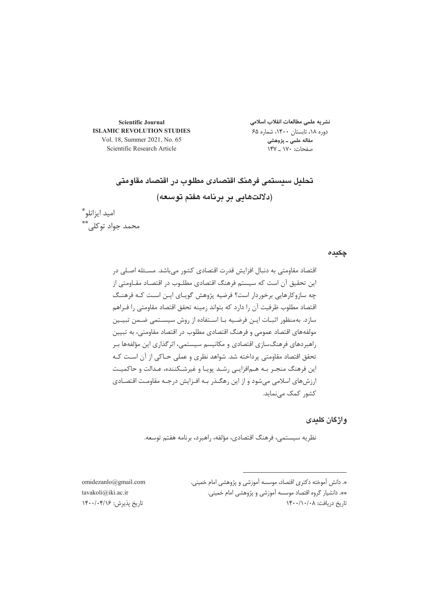**Scientific Journal ISLAMIC REVOLUTION STUDIES** Vol. 18, Summer 2021, No. 65 Scientific Research Article

نشر یه علمی مطالعات انقلاب اسلامی دوره ۱۸، تابستان ۱۴۰۰، شماره ۶۵ مقاله علمی ــ پژوهشی صفحات: ۱۷۰ \_ ۱۴۷

# تحليل سيستمى فرهنگ اقتصادى مطلوب در اقتصاد مقاومتى (دلالتهایی بر برنامه هفتم توسعه)

اميد ايزانلو\* محمد جواد توكلى\*\*

## **چکیدہ**

 @4n@
\_7(
3MF/ T7T8-?2\* 
T G
 @ @T 3@
/ T-10Q&F,.N&6 ;- @-10@F,@;@-/@-3L81 9:&Y0p, 3<0-1F Gj Q10@
 TN6 -&
G73F .,&0l3 T ;&@&\* ;D@Y D@& # G '@@&@Y0;@-@\*V3R-\_ G ;&&\* 
 T 3 / T -10 
3D+ T /1'3 0@1'o
;-/\L0VD&Q&^
 / T/G-10/1 0\*1 @F,@.GF@XD+ /0R713(\_7(< 0:
 T N6 ,@&DFX ,7@+7--^@(0&` @-3:7@(@-?Q@1@0@J--10;- / @T,@

@E 8-?@@\@q1;-G 3(

/1#G \_7-D
bDF3MF

**واژگان کلید**ی

نظريه سيستمي، فرهنگ اقتصادي، مؤلفه، راهبرد، برنامه هفتم توسعه.

». دانش أموخته دكترى اقتصاد، موسسه أموزشى و پژوهشى امام خمينى. \*\*. دانشیار گروه اقتصاد موسسه آموزشی و پژوهشی امام خمینی. ناريخ دريافت: ۰/۰/۰/۰۸/

-omidezanlo@gmail.com--tavakoli@iki.ac.ir-تاريخ پذيرش: ١۴٠٠/٠۴/١۶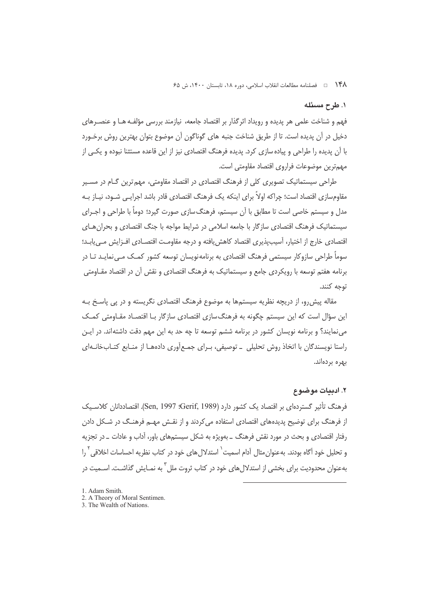۱۴۸ = فصلنامه مطالعات انقلاب اسلامی، دوره ۱۸، تابستان ۱۴۰۰، ش ۶۵

## ١. طرح مسئله

فهم و شناخت علمی هر پدیده و رویداد اثرگذار بر اقتصاد جامعه، نیازمند بررسی مؤلفـه هـا و عنصـرهای دخیل در آن پدیده است. تا از طریق شناخت جنبه های گوناگون آن موضوع بتوان بهترین روش برخـورد با آن پدیده را طراحی و پیاده سازی کرد. پدیده فرهنگ اقتصادی نیز از این قاعده مستثنا نبوده و یکـی از مهمترين موضوعات فراروي اقتصاد مقاومتي است.

طراح<sub>،</sub> سیستماتیک تصویری کلی از فرهنگ اقتصادی در اقتصاد مقاومتی، مهم ترین گـام در مســیر مقاومسازی اقتصاد است؛ چراکه اولاً برای اینکه یک فرهنگ اقتصادی قادر باشد اجرایـی شــود، نیــاز بــه مدل و سیستم خاصی است تا مطابق با آن سیستم، فرهنگ سازی صورت گیرد؛ دوماً با طراحی و اجـرای سیستماتیک فرهنگ اقتصادی سازگار با جامعه اسلامی در شرایط مواجه با جنگ اقتصادی و بحران هـای اقتصادی خارج از اختیار، آسیب پذیری اقتصاد کاهش یافته و درجه مقاومت اقتصـادی افــزایش مــی یابــد؛ سوماً طراحی سازوکار سیستمی فرهنگ اقتصادی به پرنامهنویسان توسعه کشور کمـک مـی نمایـد تـا در برنامه هفتم توسعه با رویکردی جامع و سیستماتیک به فرهنگ اقتصادی و نقش آن در اقتصاد مقـاومتی توجه كنند.

مقاله پیش رو، از دریچه نظریه سیستمها به موضوع فرهنگ اقتصادی نگریسته و در پی پاسـخ بـه این سؤال است که این سیستم چگونه به فرهنگ<code>سازی</code> اقتصادی سازگار بـا اقتصـاد مقـاومتی کمـک می نمایند؟ و برنامه نویسان کشور در برنامه ششم توسعه تا چه حد به این مهم دقت داشتهاند. در ایـن راستا نویسندگان با اتخاذ روش تحلیلی \_ توصیفی، بـرای جمـع|َوری دادههـا از منـابع کتـابخانـهای يهره پردواند.

# ۲. ادیبات موضوع

فرهنگ تأثیر گستردهای بر اقتصاد یک کشور دارد (Gen, 1997 :Gerif, 1989). اقتصاددانان کلاسـبک از فرهنگ برای توضیح پدیدههای اقتصادی استفاده می کردند و از نقـش مهـم فرهنـگ در شـکل دادن رفتار اقتصادی و بحث در مورد نقش فرهنگ ــ بەویژه به شکل سیستمهای باور، آداب و عادات ــ در تجزیه و تحلیل خود آگاه بودند. به عنوان مثال آدام اسمیت ٔ استدلال های خود در کتاب نظریه احساسات اخلاقی ٔ را بهعنوان محدودیت برای بخشی از استدلال های خود در کتاب ثروت ملل ٰ به نمـایش گذاشـت. اســمیت در

- 2. A Theory of Moral Sentimen.
- 3. The Wealth of Nations.

<sup>1.</sup> Adam Smith.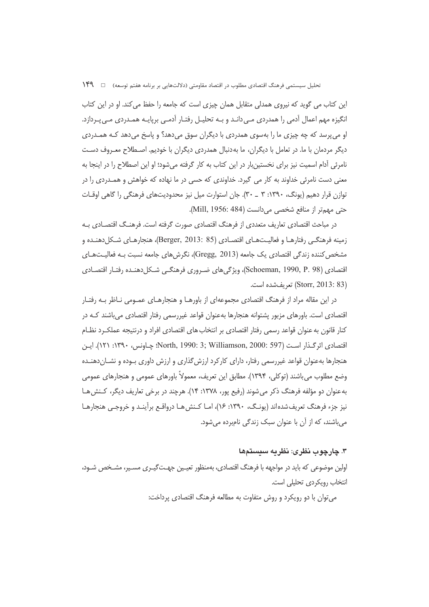نحلیل سیستمی فرهنگ اقتصادی مطلوب در اقتصاد مقاومتی (دلالتهایی بر برنامه هفتم توسعه) مسلم ۱۴۹

ّین کتاب می گوید که نیروی همدلی متقابل همان چیزی است که جامعه را حفظ می کند. او در این کتاب نگیزه مهم اعمال أدمی را همدردی مـیcانـد و بـه تحلیـل رفتـار أدمـی برپایـه همـدردی مـیپـردازد. او مي پرسد كه چه چيزي ما را بهسوي همدردي با ديگران سوق مي دهد؟ و پاسخ مي دهد كـه همــدردي دیگر مردمان با ما. در تعامل با دیگران، ما بهدنبال همدردی دیگران با خودیم. اصـطلاح معـروف دسـت نامرئی آدام اسمیت نیز برای نخستینبار در این کتاب به کار گرفته میشود؛ او این اصطلاح را در اینجا به معنی دست نامرئی خداوند به کار می گیرد. خداوندی که حسی در ما نهاده که خواهش و همـدردی را در نوازن قرار دهیم (یونگ، ۱۳۹۰: ۳ \_ ۳۰). جان استوارت میل نیز محدودیتهای فرهنگی را گاهی اوقــات حتی مهم تر از منافع شخصی میدانست (Mill, 1956: 484).

در مباحث اقتصادی تعاریف متعددی از فرهنگ اقتصادی صورت گرفته است. فرهنـگ اقتصــادی بــه زمینه فرهنگـی رفتارهـا و فعالیــتـهـای اقتصــادی (Berger, 2013: 85)، هنجارهـای شـكل(دهنـده و مشخص کننده زندگی اقتصادی یک جامعه (Gregg, 2013)، نگرشهای جامعه نسبت بـه فعالیــتهــای قتصادی (Schoeman, 1990, P. 98)، ویژگیهای ضـروری فرهنگـی شـكل(هنـده رفتـار اقتصـادی (Storr, 2013: 83) تعريفشده است.

در این مقاله مراد از فرهنگ اقتصادی مجموعهای از باورهـا و هنجارهـای عمـومی نـاظر بـه رفتـار قتصادی است. باورهای مزبور پشتوانه هنجارها بهعنوان قواعد غیررسمی رفتار اقتصادی میباشند کـه در كنار قانون به عنوان قواعد رسمي رفتار اقتصادي بر انتخاب هاي اقتصادي افراد و درنتيجه عملكـرد نظـام قتصادى اثرگـذار اسـت (597 :North, 1990: 3; Williamson, 2000: چـاونس، ١٣٩٠: ١٢١). ايـن هنجارها بهعنوان قواعد غیررسمی رفتار، دارای کارکرد ارزش گذاری و ارزش داوری بـوده و نشــاندهنــده وضع مطلوب میباشند (توکلی، ۱۳۹۴). مطابق این تعریف، معمولاً باورهای عمومی و هنجارهای عمومی به عنوان دو مؤلفه فرهنگ ذکر می شوند (رفیع پور، ۱۳۷۸: ۱۴). هرچند در برخی تعاریف دیگر، کـنش هـا نیز جزء فرهنگ تعریفشدهاند (یونـگ، ۱۳۹۰: ۱۶)، امـا کـنش۵هـا درواقـع برأینـد و خروجـی هنجارهـا میباشند، که از آن با عنوان سبک زندگی نامبرده میشود.

## **LB+ M- 2 M \*O"O-(**

اولین موضوعی که باید در مواجهه با فرهنگ اقتصادی، بهمنظور تعیـین جهـتگیـری مسـیر، مشـخص شـود، نتخاب رویکردی تحلیلی است.

میتوان با دو رویکرد و روش متفاوت به مطالعه فرهنگ اقتصادی پرداخت: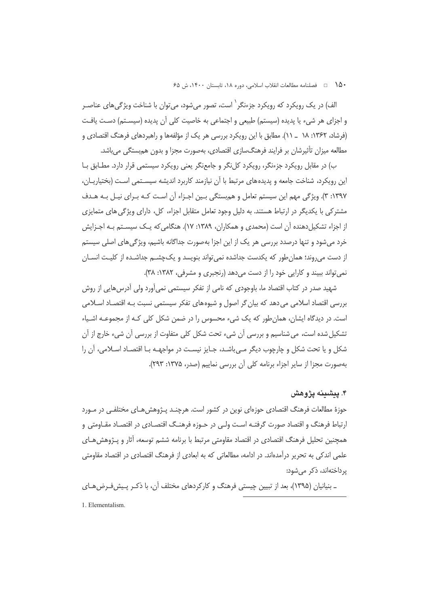•14 هـ = فصلنامه مطالعات انقلاب اسلامي، دوره ١٨، تابستان ١۴٠٠، ش ۶۵

الف) در یک رویکرد که رویکرد جزءنگر <sup>٬</sup> است، تصور می شود، می توان با شناخت ویژگی های عناصـر و اجزای هر شیء یا پدیده (سیستم) طبیعی و اجتماعی به خاصیت کلی آن پدیده (سیسـتم) دسـت یافـت (فرشاد، ۱۳۶۲: ۱۸ \_ ۱۱). مطابق با این رویکرد بررسی هر یک از مؤلفهها و راهبردهای فرهنگ اقتصادی و مطالعه میزان تأثیرشان بر فرایند فرهنگسازی اقتصادی، بهصورت مجزا و بدون هم بستگی می باشد.

ب) در مقابل رویکرد جزءنگر، رویکرد کلنگر و جامعنگر یعنی رویکرد سیستمی قرار دارد. مطـابق بـا این رویکرد، شناخت جامعه و پدیدههای مرتبط با آن نیازمند کاربرد اندیشه سیسـتمی اسـت (بختیاریـان، ۱۳۹۷: ۳). ویژگی مهم این سیستم تعامل و هم بستگی بـین اجـزاء آن اسـت کـه بـرای نیـل بـه هـدف مشترکی با یکدیگر در ارتباط هستند. به دلیل وجود تعامل متقابل اجزاء، کل، دارای ویژگی های متمایزی از اجزاء تشکیلدهنده آن است (محمدی و همکاران، ۱۳۸۹: ۱۷). هنگامی که یـک سیسـتم بـه اجـزایش خرد می شود و تنها درصدد بررسی هر یک از این اجزا بهصورت جداگانه باشیم، ویژگی های اصلی سیستم از دست می روند؛ همان طور که یکدست جداشده نمی تواند بنویسد و یک چشــم جداشــده از کلیــت انســان نمی تواند ببیند و کارایی خود را از دست می دهد (رنجبری و مشرفی، ۱۳۸۲: ۳۸).

شهید صدر در کتاب اقتصاد ما، باوجودی که نامی از تفکر سیستمی نمی آورد ولی آدرس هایی از روش بررسی اقتصاد اسلامی می دهد که بیان گر اصول و شیوههای تفکر سیستمی نسبت بـه اقتصـاد اسـلامی است. در دیدگاه ایشان، همان طور که یک شیء محسوس را در ضمن شکل کلی کـه از مجموعـه اشـیاء تشکیل شده است، می شناسیم و بررسی آن شیء تحت شکل کلی متفاوت از بررسی آن شیء خارج از آن شکل و یا تحت شکل و چارچوب دیگر مـی باشـد، جـایز نیسـت در مواجهـه بـا اقتصـاد اسـلامی، آن را بهصورت مجزا از سایر اجزاء برنامه کلی آن بررسی نماییم (صدر، ۱۳۷۵: ۲۹۳).

# ۴. ييشينه يژوهش

حوزهٔ مطالعات فرهنگ اقتصادی حوزهای نوین در کشور است. هرچنـد پـژوهش۵هـای مختلفـی در مـورد ارتباط فرهنگ و اقتصاد صورت گرفتـه اسـت ولـي در حـوزه فرهنـگ اقتصـادي در اقتصـاد مقـاومتي و همچنین تحلیل فرهنگ اقتصادی در اقتصاد مقاومتی مرتبط با برنامه ششم توسعه، آثار و پـژوهش هـای علمی اندکی به تحریر درآمدهاند. در ادامه، مطالعاتی که به ابعادی از فرهنگ اقتصادی در اقتصاد مقاومتی یرداختهاند، ذکر مے شود:

ـ بنیانیان (۱۳۹۵)، بعد از تبیین چیستی فرهنگ و کارکردهای مختلف آن، با ذکـر پـیش فـرض هـای

1. Elementalism.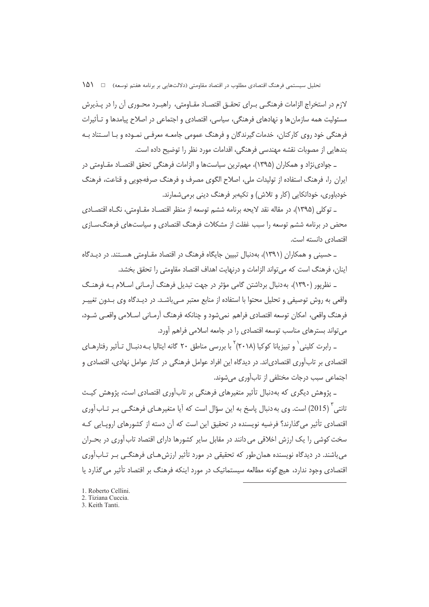تحلیل سیستمی فرهنگ اقتصادی مطلوب در اقتصاد مقاومتی (دلالتهایی بر برنامه هفتم توسعه) □ (1۵

لازم در استخراج الزامات فرهنگـی بــرای تحقـق اقتصــاد مقــاومتی، راهبــرد محــوری آن را در پــذیرش مسئولیت همه سازمان ها و نهادهای فرهنگی، سیاسی، اقتصادی و اجتماعی در اصلاح پیامدها و تـأثیرات فرهنگی خود روی کارکنان، خدمات گیرندگان و فرهنگ عمومی جامعـه معرفـی نمـوده و بـا اسـتناد بـه بندهایی از مصوبات نقشه مهندسی فرهنگی، اقدامات مورد نظر را توضیح داده است.

ـ جوادینژاد و همکاران (۱۳۹۵)، مهمترین سیاستها و الزامات فرهنگی تحقق اقتصـاد مقـاومتی در ایران را، فرهنگ استفاده از تولیدات ملی، اصلاح الگوی مصرف و فرهنگ صرفهجویی و قناعت، فرهنگ خودباوري، خوداتکايي (کار و تلاش) و تکيهېر فرهنگ دينې برمې شمارند.

ـ توكلي (١٣٩۵)، در مقاله نقد لايحه برنامه ششم توسعه از منظر اقتصـاد مقـاومتي، نگـاه اقتصـادي محض در برنامه ششم توسعه را سبب غفلت از مشکلات فرهنگ اقتصادی و سیاستهای فرهنگ سـازی اقتصادی دانسته است.

\_ حسینی و همکاران (۱۳۹۱)، بهدنبال تبیین جایگاه فرهنگ در اقتصاد مقـاومتی هسـتند. در دیـدگاه اينان، فرهنگ است كه مي¤واند الزامات و درنهايت اهداف اقتصاد مقاومتي را تحقق بخشد.

ـ نظرپور (۱۳۹۰)، به دنبال برداشتن گامی مؤثر در جهت تبدیل فرهنگ آرمـانی اسـلام بـه فرهنـگ واقعی به روش توصیفی و تحلیل محتوا با استفاده از منابع معتبر مـیuاشـد. در دیـدگاه وی بـدون تغییـر فرهنگ واقعی، امکان توسعه اقتصادی فراهم. نمی شود و چنانکه فرهنگ اُرمـانی اسـلامی واقعـی شـود، می تواند بسترهای مناسب توسعه اقتصادی را در جامعه اسلامی فراهم آورد.

\_ رابرت کلینی ` و تییزیانا کوکیا (۲۰۱۸) ٌ با بررسی مناطق ۲۰ گانه ایتالیا بـه دنبـال تـأثیر رفتارهـای اقتصادی بر تاب آوری اقتصادیاند. در دیدگاه این افراد عوامل فرهنگی در کنار عوامل نهادی، اقتصادی و اجتماعي سبب درجات مختلفي از تاب آوري مي شوند.

ـ پژوهش دیگری که بهدنبال تأثیر متغیرهای فرهنگی بر تاب[ّوری اقتصادی است، پژوهش کیـث تانتی ٔ (2015) است. وی به دنبال پاسخ به این سؤال است که آیا متغیرهـای فرهنگـی بـر تـاب آوری اقتصادی تأثیر می گذارند؟ فرضیه نویسنده در تحقیق این است که آن دسته از کشورهای اروپـایی کـه سخت کوشی را یک ارزش اخلاقی می دانند در مقابل سایر کشورها دارای اقتصاد تاب آوری در بحـران می باشند. در دیدگاه نویسنده همان طور که تحقیقی در مورد تأثیر ارزش هـای فرهنگـی بـر تـابآوری اقتصادی وجود ندارد، هیچ گونه مطالعه سیستماتیک در مورد اینکه فرهنگ بر اقتصاد تأثیر می گذارد یا

- 1. Roberto Cellini.
- 2. Tiziana Cuccia.
- 3. Keith Tanti.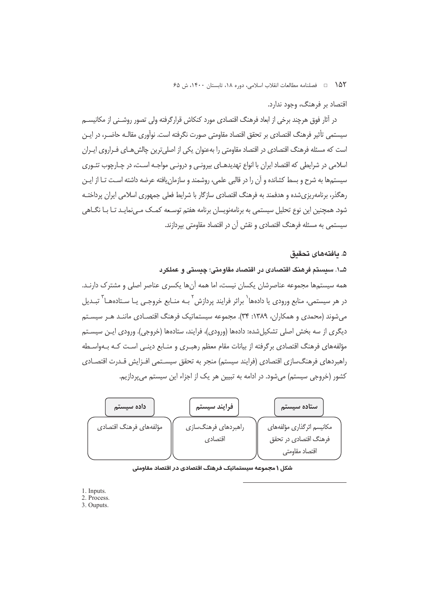1۵۲ هـ فصلنامه مطالعات انقلاب اسلامي، دوره ۱۸، تابستان ۱۴۰۰، ش ۶۵

اقتصاد بر فرهنگ، وجود ندارد.

در آثار فوق هرچند برخی از ابعاد فرهنگ اقتصادی مورد کنکاش قرارگرفته ولی تصور روشـنی از مکانیســم سیستمی تأثیر فرهنگ اقتصادی بر تحقق اقتصاد مقاومتی صورت نگرفته است. نوآوری مقالـه حاضـر، در ایـن است که مسئله فرهنگ اقتصادی در اقتصاد مقاومتی را بهعنوان یکی از اصلیترین چالش هـای فـراروی ایـران اسلامي در شرايطي كه اقتصاد ايران با انواع تهديدهـاي بيرونـي و درونـي مواجـه اسـت، در چـارچوب تئـوري سیستمها به شرح و بسط کشانده و آن را در قالبی علمی، روشمند و سازمان یافته عرضه داشته اسـت تـا از ایـن رهگذر، برنامهریزیشده و هدفمند به فرهنگ اقتصادی سازگار با شرایط فعلی جمهوری اسلامی ایران پرداختـه شود. همچنین این نوع تحلیل سیستمی به برنامهنویسان برنامه هفتم توسـعه کمـک مـیiمایـد تـا بـا نگـاهـ ، سیستمی به مسئله فرهنگ اقتصادی و نقش آن در اقتصاد مقاومتی بیردازند.

#### ۵. ىافتەھاي تحقىق

۵ــ۱. سیستم فرهنگ اقتصادی در اقتصاد مقاومتی؛ چیستی و عملکرد همه سیستمها مجموعه عناصرشان یکسان نیست، اما همه آنها یکسری عناصر اصلی و مشترک دارنـد. در هر سیستمی، منابع ورودی یا دادهها<sup>٬</sup> براثر فرایند پردازش <sup>۲</sup> بـه منـابع خروجـی یـا سـتادههـا<sup>۲</sup> تبـدیل می شوند (محمدی و همکاران، ۱۳۸۹: ۳۴). مجموعه سیستماتیک فرهنگ اقتصـادی ماننـد هـر سیسـتم دیگری از سه بخش اصلی تشکیلشده: دادهها (ورودی)، فرایند، ستادهها (خروجی). ورودی ایـن سیسـتم مؤلفههای فرهنگ اقتصادی برگرفته از بیانات مقام معظم رهبـری و منـابع دینـی اسـت کـه بـهواسـطه راهبردهای فرهنگسازی اقتصادی (فرایند سیستم) منجر به تحقق سیسـتمی افـزایش قـدرت اقتصـادی کشور (خروجی سیستم) می شود. در ادامه به تبیین هر یک از اجزاء این سیستم می پردازیم.



شکل ۱ مجموعه سیستماتیک فرهنگ اقتصادی در اقتصاد مقاومتی

- 1. Inputs.
- 2. Process.
- 3. Ouputs.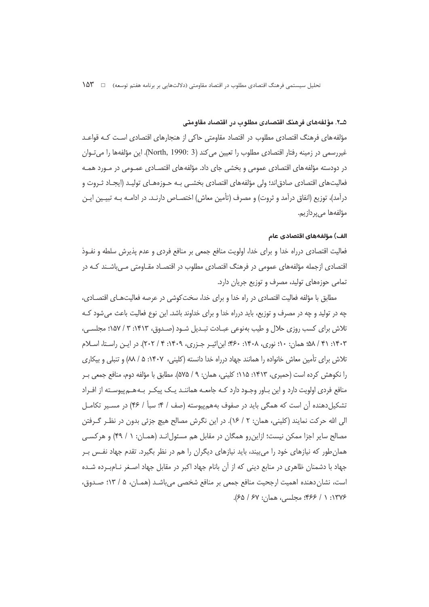#### ۵ــ۲. مؤلفههای فرهنگ اقتصادی مطلوب در اقتصاد مقاومتی

مؤلفه های فرهنگ اقتصادی مطلوب در اقتصاد مقاومتی حاکی از هنجارهای اقتصادی است کـه قواعـد غیررسمی در زمینه رفتار اقتصادی مطلوب را تعیین می کند (North, 1990: 3). این مؤلفهها را می توان در دودسته مؤلفه های اقتصادی عمومی و بخشی جای داد. مؤلفه های اقتصـادی عمـومی در مـورد همـه فعالیتهای اقتصادی صادق|ند؛ ولی مؤلفههای اقتصادی بخشـی بـه حـوزههـای تولیـد (ایجـاد ثـروت و درآمد)، توزيع (انفاق درآمد و ثروت) و مصرف (تأمين معاش) اختصــاص دارنــد. در ادامــه بــه تبيــين ايــن مؤلفەها مىپردازيم.

#### الف) مؤلفههای اقتصادی عام

فعالیت اقتصادی درراه خدا و برای خدا، اولویت منافع جمعی بر منافع فردی و عدم پذیرش سلطه و نفـوذ اقتصادی ازجمله مؤلفههای عمومی در فرهنگ اقتصادی مطلوب در اقتصـاد مقـاومتی مـی،باشـند کـه در تمامی حوزههای تولید، مصرف و توزیع جریان دارد.

مطابق با مؤلفه فعالیت اقتصادی در راه خدا و برای خدا، سخت کوشی در عرصه فعالیتهـای اقتصـادی، چه در تولید و چه در مصرف و توزیع، باید درراه خدا و برای خداوند باشد. این نوع فعالیت باعث می شود کـه تلاش برای کسب روزی حلال و طیب بهنوعی عبـادت تبـدیل شـود (صـدوق، ۱۴۱۳: ۳ / ۱۵۷؛ مجلسـی، ۱۴۰۳: ۴۱ / ۵۸؛ همان: ۱۰؛ نوری، ۱۴۰۸: ۴۶۰؛ ابن|ثیـر جـزری، ۱۴۰۹: ۲ / ۲۰۲). در ایـن راسـتا، اسـلام تلاش برای تأمین معاش خانواده را همانند جهاد درراه خدا دانسته (کلینی، ۱۴۰۷: ۵/ ۸۸) و تنبلی و بیکاری را نکوهش کرده است (حمیری، ۱۴۱۳: ۱۱۵؛ کلینی، همان: ۹ / ۵۷۵). مطابق با مؤلفه دوم، منافع جمعی ب منافع فردی اولویت دارد و این بـاور وجـود دارد کـه جامعـه هماننـد یـک پیکـر بـه هـم پیوسـته از افـراد تشکیلدهنده آن است که همگی باید در صفوف بههمپیوسته (صف / ۴: سبأ / ۴۶) در مسـیر تکامـل الی الله حرکت نمایند (کلینی، همان: ۲ / ۱۶). در این نگرش مصالح هیچ جزئی بدون در نظـر گـرفتن مصالح سایر اجزا ممکن نیست؛ ازاین رو همگان در مقابل هم مسئول انـد (همـان: ١ / ۴۹) و هرکسـی همان طور که نیازهای خود را میبیند، باید نیازهای دیگران را هم در نظر بگیرد. تقدم جهاد نفس بـر جهاد با دشمنان ظاهری در منابع دینی که از آن بانام جهاد اکبر در مقابل جهاد اصـغر نــامبــرده شــده است، نشان دهنده اهميت ارجحيت منافع جمعي بر منافع شخصي مي باشـد (همـان، ۵ / ۱۳؛ صـدوق، ١٣٧۶: ١ / ٣۶۶؛ مجلسي، همان: ٤٧ / ٤٥).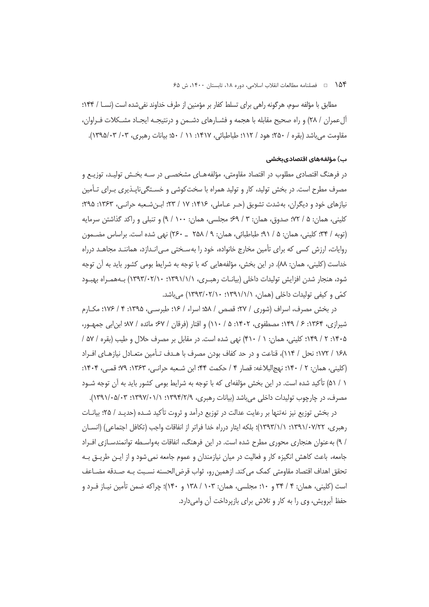۱۵۴ هـ فصلنامه مطالعات انقلاب اسلامي، دوره ۱۸، تابستان ۱۴۰۰، ش ۶۵

مطابق با مؤلفه سوم، هرگونه راهی برای تسلط کفار بر مؤمنین از طرف خداوند نفی شده است (نسـا / ۱۴۴؛ ألءمران / ٢٨) و راه صحيح مقابله با هجمه و فشــارهاي دشــمن و درنتيجــه ايجــاد مشــكلات فــراوان، مقاومت مي باشد (بقره / ۲۵۰؛ هود / ۱۱۲؛ طباطبائي، ۱۴۱۷: ۱۱ / ۵۰؛ بيانات رهبري، ۰۳/ ۰۳/۵/۰۳).

#### ب) مؤلفههای اقتصادیبخشی

در فرهنگ اقتصادی مطلوب در اقتصاد مقاومتی، مؤلفههـای مشخصـی در سـه بخـش تولیـد، توزیـع و مصرف مطرح است. در بخش تولید، کار و تولید همراه با سختکوشی و خسـتگیiناپـذیری بـرای تـأمین نیازهای خود و دیگران، بهشدت تشویق (حـر عـاملی، ۱۴۱۶: ۱۷ / ۲۳؛ ابـن شـعبه حرانـی، ۱۳۶۳: ۲۹۵؛ كليني، همان: ۵ / ۷۲؛ صدوق، همان: ۳ / ۶۹؛ مجلسي، همان: ۱۰۰ / ۹) و تنبلي و راكد گذاشتن سرمايه (توبه / ٣۴؛ كليني، همان: ۵ / ٩١؛ طباطبائي، همان: ٩ / ٢٥٨ \_ ٢۶٠) نهي شده است. براساس مضـمون روایات، ارزش کسی که برای تأمین مخارج خانواده، خود را بهسـختی مـی|نـدازد، هماننـد مجاهـد درراه خداست (کلینی، همان: ۸۸). در این بخش، مؤلفههایی که با توجه به شرایط بومی کشور باید به آن توجه شود، هنجار شدن افزایش تولیدات داخلی (بیانـات رهبـری، ۱۳۹۱/۱/۱۰؛ ۱۳۹۳/۰۲/۱۰) بـههمـراه بهبـود کمّی و کیفی تولیدات داخلی (همان، ۱۳۹۱/۱/۱ ۱۳۹۴/۰۲/۱۰) می باشد.

در بخش مصرف، اسراف (شوری / ۲۷؛ قصص / ۵۸؛ اسراء / ۱۶؛ طبرسے،، ۱۳۹۵: ۴ / ۱۷۶؛ مکبارم شیرازی، ۱۳۶۴: ۶ / ۱۴۹؛ مصطفوی، ۱۴۰۲: ۵ / ۱۱۰) و اقتار (فرقان / ۶۷؛ مائده / ۹۷؛ ابن ابی جمهـور، ۱۴۰۵: ۲ / ۱۴۹: کلینی، همان: ۱ / ۴۱۰) نهی شده است. در مقابل بر مصرف حلال و طیب (بقره / ۵۷ / ١۶٨ / ١٧٢؛ نحل / ١١۴)، قناعت و در حد كفاف بودن مصرف با هـدف تـأمين متعـادل نيازهـاي افـراد (كليني، همان: ٢ / ١۴٠؛ نهجالبلاغه: قصار ۴ / حكمت ۴۴؛ ابن شـعبه حرانـي، ١٣۶٣: ٧٩؛ قمـي، ١۴٠۴: ۱ / ۵۱) تأکید شده است. در این بخش مؤلفهای که با توجه به شرایط بومی کشور باید به آن توجه شـود مصرف، در چارچوب تولیدات داخلی می باشد (بیانات رهبری، ۱۳۹۴/۲/۹): ۰۱/۰۵/۰۲: ۱۳۹۱/۰۵/۰۳).

در بخش توزیع نیز نهتنها بر رعایت عدالت در توزیع درآمد و ثروت تأکید شـده (حدیـد / ۲۵؛ بیانـات رهبري، ١٣٩١/٠٧/٢٢؛ ١٣٩٣/١/١٣٩٣)؛ بلكه ايثار درراه خدا فراتر از انفاقات واجب (تكافل اجتماعي) (انسـان / ۹) به عنوان هنجاری محوری مطرح شده است. در این فرهنگ، انفاقات بهواسـطه توانمندسـازی افـراد جامعه، باعث كاهش انگيزه كار و فعاليت در ميان نيازمندان و عموم جامعه نمي شود و از ايـن طريـق بـه تحقق اهداف اقتصاد مقاومتي كمك مي كند. ازهمين رو، ثواب قرض الحسنه نسـبت بـه صـدقه مضـاعف است (کلینی، همان: ۴ / ۳۴ و ۱۰؛ مجلسی، همان: ۱۰۳ / ۱۳۸ و ۱۴۰)؛ چراکه ضمن تأمین نیـاز فـرد و حفظ آبرویش، وی را به کار و تلاش برای بازپرداخت آن وامیدارد.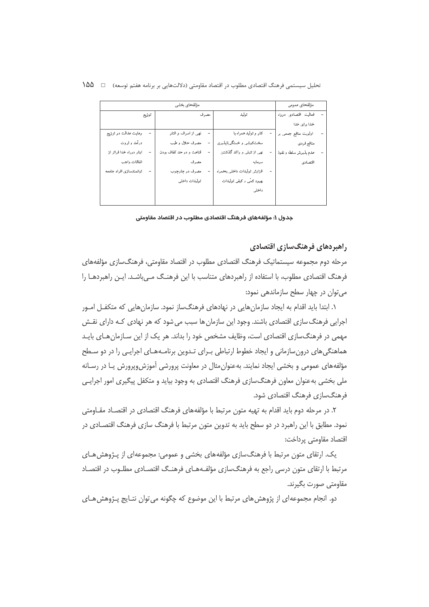تحلیل سیستمی فرهنگ اقتصادی مطلوب در اقتصاد مقاومتی (دلالتهایی بر برنامه هفتم توسعه) = 1 1۵۵

| مؤلفه هاى بخشى           |                         |                              | مؤلفههاى عمومى       |  |
|--------------------------|-------------------------|------------------------------|----------------------|--|
| توزيع                    | مصرف                    | توليد                        | فعاليت اقتصادى درراه |  |
|                          |                         |                              | خدا برای خدا         |  |
| رعايت عدالت در توزيع     | نھی از اسراف و اقتار    | کار و تولید همراه با         | اولویت منافع جمعی بو |  |
| درآمد و ثروت             | مصرف حلال وطيب          | سخت کوشي و خستگي ناپذيري     | منافع قردي           |  |
| اپثار درراه خدا فراتر از | قناعت و در حد کفاف بودن | نهی از تنبلی و راکد گذاشتن   | عدم پذيوش سلطه وتقوذ |  |
| انفاقات واجب             | مصرف                    | سرمايه                       | اقتصادى              |  |
| ثواتمندسازي افراد جامعه  | مصرف در چارچوب          | افزايش ثوليدات داخلي بههمراء |                      |  |
|                          | توليدات داخلي           | بهبود کمّی و کیفی تولیدات    |                      |  |
|                          |                         | داخلى                        |                      |  |
|                          |                         |                              |                      |  |

جدول ۱: مؤلفههای فرهنگ اقتصادی مطلوب در اقتصاد مقاومتی

# راهبردهای فرهنگسازی اقتصادی

مرحله دوم مجموعه سیستماتیک فرهنگ اقتصادی مطلوب در اقتصاد مقاومتی، فرهنگسازی مؤلفههای فرهنگ اقتصادی مطلوب، با استفاده از راهبردهای متناسب با این فرهنگ مـیباشـد. ایـن راهبردهـا را می توان در چهار سطح سازماندهی نمود:

۱. ابتدا باید اقدام به ایجاد سازمان هایی در نهادهای فرهنگساز نمود. سازمان هایی که متکفـل امـور اجرایی فرهنگ سازی اقتصادی باشند. وجود این سازمان ها سبب می شود که هر نهادی کـه دارای نقـش مهمی در فرهنگسازی اقتصادی است، وظایف مشخص خود را بداند. هر یک از این سـازمان هـای بایــد هماهنگی های درون سازمانی و ایجاد خطوط ارتباطی بـرای تـدوین برنامـههـای اجرایـی را در دو سـطح مؤلفههای عمومی و بخشی ایجاد نمایند. بهعنوان مثال در معاونت پرورشی آموزش وپرورش یـا در رسـانه ملي بخشي به عنوان معاون فرهنگ سازي فرهنگ اقتصادي به وجود بيايد و متكفل پيگيري امور اجرايـي فرهنگسازی فرهنگ اقتصادی شود.

۲. در مرحله دوم باید اقدام به تهیه متون مرتبط با مؤلفههای فرهنگ اقتصادی در اقتصـاد مقـاومتی نمود. مطابق با این راهبرد در دو سطح باید به تدوین متون مرتبط با فرهنگ سازی فرهنگ اقتصـادی در اقتصاد مقاومتی پرداخت:

یک. ارتقای متون مرتبط با فرهنگ سازی مؤلفههای بخشی و عمومی: مجموعهای از پـژوهش هـای مرتبط با ارتقای متون درسی راجع به فرهنگسازی مؤلفـههـای فرهنـگ اقتصـادی مطلـوب در اقتصـاد مقاومتی صورت بگیرند.

دو. انجام مجموعهای از پژوهش های مرتبط با این موضوع که چگونه می توان نتـایج پـژوهش هـای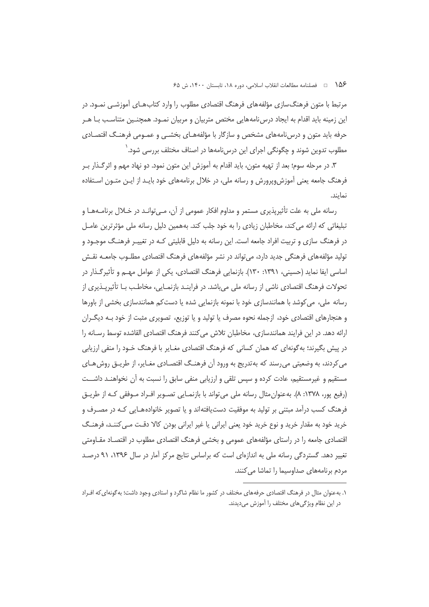۱۵۶ هـ فصلنامه مطالعات انقلاب اسلامي، دوره ۱۸، تابستان ۱۴۰۰، ش ۶۵

مرتبط با متون فرهنگ<code>سازی</code> مؤلفههای فرهنگ اقتصادی مطلوب را وارد کتابِهـای آموزشـی نمـود. در این زمینه باید اقدام به ایجاد درس نامههایی مختص متربیان و مربیان نمـود. همچنـین متناسـب بـا هـر حرفه باید متون و درس نامههای مشخص و سازگار با مؤلفههـای بخشـبی و عمـومی فرهنـگ اقتصـادی مطلوب تدوین شوند و چگونگی اجرای این درسiنامهها در اصناف مختلف بررسی شود. ٰ

۳. در مرحله سوم؛ بعد از تهیه متون، باید اقدام به آموزش این متون نمود. دو نهاد مهم و اثرگـذار بـر فرهنگ جامعه یعنی آموزش وپرورش و رسانه ملی، در خلال برنامههای خود بایـد از ایـن متــون اسـتفاده نماىند.

رسانه ملي به علت تأثيريذيري مستمر و مداوم افكار عمومي از آن، مـي توانـد در خـلال برنامــههـا و تبلیغاتی که ارائه می کند، مخاطبان زیادی را به خود جلب کند. بههمین دلیل رسانه ملی مؤثرترین عامــل در فرهنگ سازی و تربیت افراد جامعه است. این رسانه به دلیل قابلیتی کـه در تغییـر فرهنـگ موجـود و تولید مؤلفههای فرهنگی جدید دارد، می تواند در نشر مؤلفههای فرهنگ اقتصادی مطلـوب جامعـه نقـش اساسی ایفا نماید (حسینی، ۱۳۹۱: ۱۳۰). بازنمایی فرهنگ اقتصادی، یکی از عوامل مهـم و تأثیرگـذار در تحولات فرهنگ اقتصادی ناشی از رسانه ملی میباشد. در فراینـد بازنمـایی، مخاطـب بـا تأثیرپـذیری از رسانه ملی، می کوشد با همانندسازی خود با نمونه بازنمایی شده یا دست کم همانندسازی بخشی از باورها و هنجارهای اقتصادی خود، ازجمله نحوه مصرف یا تولید و یا توزیع، تصویری مثبت از خود بـه دیگــران ارائه دهد. در این فرایند همانندسازی، مخاطبان تلاش می کنند فرهنگ اقتصادی القاشده توسط رسـانه را در پیش بگیرند؛ به گونهای که همان کسانی که فرهنگ اقتصادی مغـایر با فرهنگ خـود را منفی ارزیابی می کردند، به وضعیتی می رسند که به تدریج به ورود آن فرهنگ اقتصـادی مغـایر، از طریــق روش@ـای مستقیم و غیرمستقیم، عادت کرده و سپس تلقی و ارزیابی منفی سابق را نسبت به آن نخواهنـد داشــت (رفیع یور، ۱۳۷۸: ۸). به عنوان مثال رسانه ملی می تواند با بازنمـایی تصـویر افـراد مـوفقی کـه از طریــق فرهنگ کسب درآمد مبتنی بر تولید به موفقیت دستیافتهاند و یا تصویر خانوادههـایی کـه در مصـرف و خرید خود به مقدار خرید و نوع خرید خود یعنی ایرانی یا غیر ایرانی بودن کالا دقت مـی کننـد، فرهنـگ اقتصادی جامعه را در راستای مؤلفههای عمومی و بخشی فرهنگ اقتصادی مطلوب در اقتصـاد مقـاومتی تغییر دهد. گستردگی رسانه ملی به اندازهای است که براساس نتایج مرکز آمار در سال ۱۳۹۶، ۹۱ درصـد مردم برنامههای صداوسیما را تماشا می کنند.

۱. به عنوان مثال در فرهنگ اقتصادی حرفههای مخنلف در کشور ما نظام شاگرد و استادی وجود داشت؛ به گونهای که افـراد در این نظام ویژگیهای مختلف را آموزش میدیدند.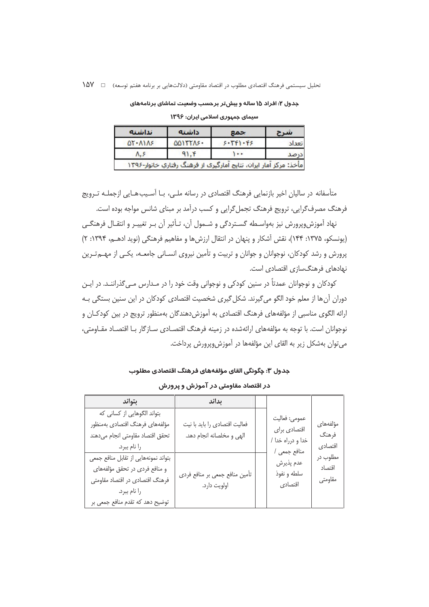| نداشته                   | داشته           | بحمع        | تتبرح |
|--------------------------|-----------------|-------------|-------|
| $QY + \Lambda$ $\Lambda$ | <b>QQITTAS+</b> | $5.5$ $5.5$ | تعداد |
| Λ.Σ                      | $91.$ $f$       |             | درصد  |

جدول ۲: افراد ۱۵ ساله و بیش تر برحسب وضعیت تماشای برنامههای سیمای جمہوری اسلامی ایران: ۱۳۹۶

متأسفانه در سالیان اخیر بازنمایی فرهنگ اقتصادی در رسانه ملبی، بـا آسـیبهـایی ازجملـه تـرویج فرهنگ مصرف گرایی، ترویج فرهنگ تجمل گرایی و کسب درآمد بر مبنای شانس مواجه بوده است.

نهاد آموزش،ویرورش نیز بهواسـطه گسـتردگی و شـمول آن، تـأثیر آن بـر تغییـر و انتقـال فرهنگـی (یونسکو، ۱۳۷۵: ۱۴۴)، نقش آشکار و پنهان در انتقال ارزشها و مفاهیم فرهنگی (نوید ادهـم، ۱۳۹۴: ۲) پرورش و رشد کودکان، نوجوانان و جوانان و تربیت و تأمین نیروی انسـانی جامعــه، یکـی از مهــم تــرین نهادهای فرهنگسازی اقتصادی است.

کودکان و نوجوانان عمدتاً در سنین کودکی و نوجوانی وقت خود را در مـدارس مـی6ذراننـد. در ایـن دوران آن ها از معلم خود الگو می گیرند. شکل گیری شخصیت اقتصادی کودکان در این سنین بستگی بـه ارائه الگوی مناسبی از مؤلفههای فرهنگ اقتصادی به آموزش دهندگان بهمنظور ترویج در بین کودکـان و نوجوانان است. با توجه به مؤلفههای ارائهشده در زمینه فرهنگ اقتصـادی سـازگار بـا اقتصـاد مقـاومتی، می توان بهشکل زیر به القای این مؤلفهها در آموزش وپرورش پرداخت.

#### جدول ٣: چگونگی القای مؤلفههای فرهنگ اقتصادی مطلوب

# در اقتصاد مقاومتی در آموزش و پرورش

| بتواند                                                                                                                                                      | بداند                                                      |                                                                    |                               |
|-------------------------------------------------------------------------------------------------------------------------------------------------------------|------------------------------------------------------------|--------------------------------------------------------------------|-------------------------------|
| بتواند الگوهایی از کسانی که<br>مؤلفههاى فرهنگ اقتصادى بهمنظور<br>تحقق اقتصاد مقاومتى انجام مىدهند<br>را نام ببرد.                                           | فعالیت اقتصادی را باید با نیت<br>الهي و مخلصانه انجام دهد. | عمومي: فعاليت<br>اقتصادي براي<br>خدا و درراه خدا /<br>منافع جمعی / | مؤلفههاى<br>فرهنگ<br>اقتصادى  |
| بتواند نمونههايي از تقابل منافع جمعي<br>و منافع فردی در تحقق مؤلفههای<br>فرهنگ اقتصادی در اقتصاد مقاومتی<br>را نام ببرد.<br>توضیح دهد که تقدم منافع جمعی بر | تأمین منافع جمعی بر منافع فردی<br>اولويت دارد.             | عدم پذيرش<br>سلطه و نفوذ<br>اقتصادى                                | مطلوب در<br>اقتصاد<br>مقاومتى |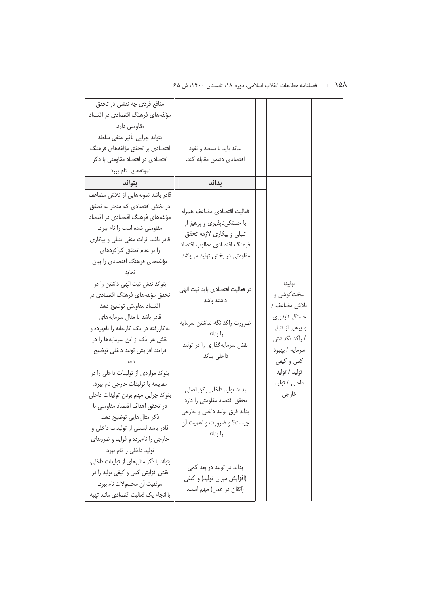# ۱۵۸ ه ه استانهه مطالعات انقلاب اسلامي، دوره ۱۸، تابستان ۱۴۰۰، ش ۶۵

| منافع فردی چه نقشی در تحقق                                                                                                                                                                                                                                                            |                                                                                                                                                     |                                                                                    |
|---------------------------------------------------------------------------------------------------------------------------------------------------------------------------------------------------------------------------------------------------------------------------------------|-----------------------------------------------------------------------------------------------------------------------------------------------------|------------------------------------------------------------------------------------|
| مؤلفههای فرهنگ اقتصادی در اقتصاد                                                                                                                                                                                                                                                      |                                                                                                                                                     |                                                                                    |
| مقاومتی دارد.                                                                                                                                                                                                                                                                         |                                                                                                                                                     |                                                                                    |
| بتواند چرایی تأثیر منفی سلطه                                                                                                                                                                                                                                                          |                                                                                                                                                     |                                                                                    |
| اقتصادی بر تحقق مؤلفههای فرهنگ                                                                                                                                                                                                                                                        | بداند بايد با سلطه و نفوذ                                                                                                                           |                                                                                    |
| اقتصادی در اقتصاد مقاومتی با ذکر                                                                                                                                                                                                                                                      | اقتصادى دشمن مقابله كند.                                                                                                                            |                                                                                    |
| نمونەھايى نام ببرد.                                                                                                                                                                                                                                                                   |                                                                                                                                                     |                                                                                    |
| بتواند                                                                                                                                                                                                                                                                                | بداند                                                                                                                                               |                                                                                    |
| قادر باشد نمونههایی از تلاش مضاعف                                                                                                                                                                                                                                                     |                                                                                                                                                     |                                                                                    |
| در بخش اقتصادی که منجر به تحقق<br>مؤلفههای فرهنگ اقتصادی در اقتصاد<br>مقاومتی شده است را نام ببرد.<br>قادر باشد اثرات منفی تنبلی و بیکاری<br>را بر عدم تحقق كاركردهاى<br>مؤلفههای فرهنگ اقتصادی را بیان<br>نمايد                                                                      | فعاليت اقتصادي مضاعف همراه<br>با خستگیناپذیری و پرهیز از<br>تنبلي و بيكاري لازمه تحقق<br>فرهنگ اقتصادى مطلوب اقتصاد<br>مقاومتی در بخش تولید میباشد. |                                                                                    |
| بتواند نقش نیت الهی داشتن را در<br>تحقق مؤلفههای فرهنگ اقتصادی در<br>اقتصاد مقاومتى توضيح دهد                                                                                                                                                                                         | در فعالیت اقتصادی باید نیت الهی<br>داشته باشد                                                                                                       | توليد:<br>سخت کوشی و<br>تلاش مضاعف /                                               |
| قادر باشد با مثال سرمايههاى<br>به کاررفته در یک کارخانه را نامبرده و<br>نقش هر یک از این سرمایهها را در<br>فرايند افزايش توليد داخلي توضيح<br>دهد.                                                                                                                                    | ضرورت راكد نگه نداشتن سرمايه<br>را بداند.<br>نقش سرمایهگذاری را در تولید<br>داخلی بداند.                                                            | خستگىناپذيرى<br>و پرهيز از تنبلي<br>/ راكد نگذاشتن<br>سرمايه / بهبود<br>كمي و كيفي |
| بتواند مواردی از تولیدات داخلی را در<br>مقايسه با توليدات خارجي نام ببرد.<br>بتواند چرايي مهم بودن توليدات داخلي<br>در تحقق اهداف اقتصاد مقاومتى با<br>ذکر مثالهایی توضیح دهد.<br>قادر باشد لیستی از تولیدات داخلی و<br>خارجی را نامبرده و فواید و ضررهای<br>تولید داخلی را نام ببرد. | بداند تولید داخلی رکن اصلی<br>تحقق اقتصاد مقاومتى را دارد.<br>بداند فرق تولید داخلی و خارجی<br>چیست؟ و ضرورت و اهمیت آن<br>را بداند.                | توليد / توليد<br>داخلی / تولید<br>خارجي                                            |
| بتواند با ذكر مثال هاى از توليدات داخلى،<br>نقش افزایش کمی و کیفی تولید را در<br>موفقيت آن محصولات نام ببرد.<br>با انجام یک فعالیت اقتصادی مانند تهیه                                                                                                                                 | بداند در تولید دو بعد کمی<br>(افزایش میزان تولید) و کیفی<br>(اتقان در عمل) مهم است.                                                                 |                                                                                    |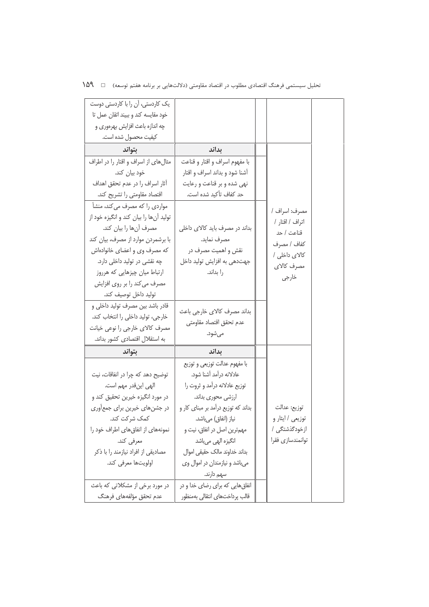| یک کاردستی، آن را با کاردستی دوست      |                                     |                                  |  |
|----------------------------------------|-------------------------------------|----------------------------------|--|
| خود مقايسه كند و ببيند اتقان عمل تا    |                                     |                                  |  |
| چه اندازه باعث افزایش بهرهوری و        |                                     |                                  |  |
| كيفيت محصول شده است.                   |                                     |                                  |  |
| بتواند                                 | بداند                               |                                  |  |
| مثال های از اسراف و اقتار را در اطراف  | با مفهوم اسراف و اقتار و قناعت      |                                  |  |
| خود بیان کند.                          | آشنا شود و بداند اسراف و اقتار      |                                  |  |
| آثار اسراف را در عدم تحقق اهداف        | نهی شده و بر قناعت و رعایت          |                                  |  |
| اقتصاد مقاومتي را تشريح كند.           | حد کفاف تأکید شده است.              |                                  |  |
| مواردی را که مصرف می کند، منشأ         |                                     |                                  |  |
| تولید آنها را بیان کند و انگیزه خود از |                                     | مصرف: اسراف /<br>اتراف / اقتار / |  |
| مصرف آنها را بيان كند.                 | بداند در مصرف باید کالای داخلی      | قناعت / حد                       |  |
| با برشمردن موارد از مصرف، بيان كند     | مصرف نمايد.                         | كفاف / مصرف                      |  |
| که مصرف وی و اعضای خانوادهاش           | نقش و اهمیت مصرف در                 | کالای داخلی /                    |  |
| چه نقشی در تولید داخلی دارد.           | جهتدهی به افزایش تولید داخل         | مصرف كالاي                       |  |
| ارتباط میان چیزهایی که هرروز           | را بداند.                           | خارجى                            |  |
| مصرف می کند را بر روی افزایش           |                                     |                                  |  |
| توليد داخل توصيف كند.                  |                                     |                                  |  |
| قادر باشد بین مصرف تولید داخلی و       | بداند مصرف كالاي خارجي باعث         |                                  |  |
| خارجي، توليد داخلي را انتخاب كند.      | عدم تحقق اقتصاد مقاومتى             |                                  |  |
| مصرف كالاي خارجي را نوعي خيانت         | مىشود.                              |                                  |  |
| به استقلال اقتصادی کشور بداند.         |                                     |                                  |  |
| بتواند                                 | بداند                               |                                  |  |
|                                        | با مفهوم عدالت توزيعي و توزيع       |                                  |  |
| توضیح دهد که چرا در انفاقات، نیت       | عادلانه درآمد آشنا شود.             |                                  |  |
| الهي اينقدر مهم است.                   | توزیع عادلانه درآمد و ثروت را       |                                  |  |
| در مورد انگیزه خیرین تحقیق کند و       | ارزشی محوری بداند.                  |                                  |  |
| در جشنهای خیرین برای جمع اوری          | بداند که توزیع درآمد بر مبنای کار و | توزيع: عدالت                     |  |
| كمك شركت كند.                          | نياز (انفاق) مي باشد.               | توزیعی / ایثار و                 |  |
| نمونههای از انفاق های اطراف خود را     | مهمترین اصل در انفاق، نیت و         | از خودگذشتگی /                   |  |
| معرفي كند.                             | انگیزه اله <i>ی</i> میباشد          | توانمندسازى فقرا                 |  |
| مصادیقی از افراد نیازمند را با ذکر     | بداند خداوند مالك حقيقى اموال       |                                  |  |
| اولويتها معرفي كند.                    | میباشد و نیازمندان در اموال وی      |                                  |  |
|                                        | سهم دارند.                          |                                  |  |
| در مورد برخی از مشکلاتی که باعث        | انفاق هایی که برای رضای خدا و در    |                                  |  |
| عدم تحقق مؤلفههاى فرهنگ                | قالب پرداختهای انتقالی بهمنظور      |                                  |  |

تحلیل سیستمی فرهنگ اقتصادی مطلوب در اقتصاد مقاومتی (دلالتهایی بر برنامه هفتم توسعه) □ 1۵۹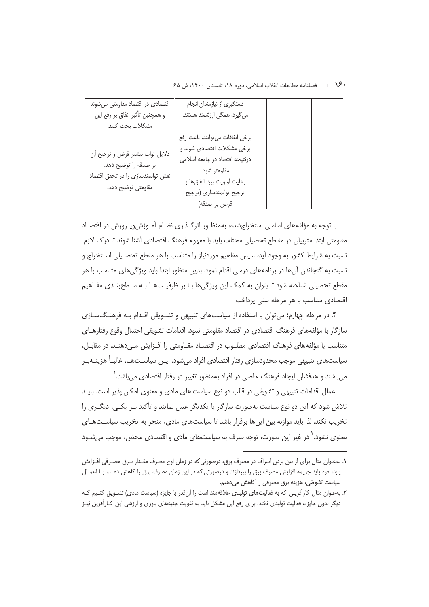•۱۶۰ ه فصلنامه مطالعات انقلاب اسلامی، دوره ۱۸، تابستان ۱۴۰۰، ش ۶۵

| اقتصادی در اقتصاد مقاومتی میشوند  | دستگیری از نیازمندان انجام       |  |  |
|-----------------------------------|----------------------------------|--|--|
| و همچنین تأثیر انفاق بر رفع این   | میگیرد، همگی ارزشمند هستند.      |  |  |
| مشكلات بحث كنند.                  |                                  |  |  |
|                                   | برخي انفاقات مي توانند، باعث رفع |  |  |
|                                   | برخی مشکلات اقتصادی شوند و       |  |  |
| دلایل ثواب بیشتر قرض و ترجیح ان   | درنتیجه اقتصاد در جامعه اسلامی   |  |  |
| بر صدقه را توضیح دهد.             | مقاومتر شود.                     |  |  |
| نقش توانمندسازى را در تحقق اقتصاد | رعايت اولويت بين انفاق ها و      |  |  |
| مقاومتى توضيح دهد.                | ترجيح توانمندسازي (ترجيح         |  |  |
|                                   | قرض بر صدقه)                     |  |  |

با توجه به مؤلفههای اساسی استخراجشده، بهمنظـور اثرگـذاری نظـام آمـوزش۱ویـرورش در اقتصـاد مقاومتی ابتدا متربیان در مقاطع تحصیلی مختلف باید با مفهوم فرهنگ اقتصادی آشنا شوند تا درک لازم نسبت به شرایط کشور به وجود آید، سپس مفاهیم موردنیاز را متناسب با هر مقطع تحصـیلی اسـتخراج و نسبت به گنجاندن آنها در برنامههای درسی اقدام نمود. بدین منظور ابتدا باید ویژگیهای متناسب با هر مقطع تحصیلی شناخته شود تا بتوان به کمک این ویژگیها بنا بر ظرفیـتهـا بـه سـطحبنـدی مفـاهیم اقتصادی متناسب با هر مرحله سنی پرداخت

۴. در مرحله چهارم؛ می توان با استفاده از سیاستهای تنبیهی و تشـویقی اقـدام بـه فرهنـگ<code>سـازی</code> سازگار با مؤلفههای فرهنگ اقتصادی در اقتصاد مقاومتی نمود. اقدامات تشویقی احتمال وقوع رفتارهـای متناسب با مؤلفههای فرهنگ اقتصادی مطلـوب در اقتصـاد مقـاومتی را افـزایش مـی دهنـد. در مقابـل، سیاستهای تنبیهی موجب محدودسازی رفتار اقتصادی افراد میشود. ایـن سیاسـتهـا، غالبـاً هزینــهبـر می باشند و هدفشان ایجاد فرهنگ خاصی در افراد بهمنظور تغییر در رفتار اقتصادی می باشد. `

اعمال اقدامات تنبیهی و تشویقی در قالب دو نوع سیاست های مادی و معنوی امکان پذیر است. بایـد تلاش شود که این دو نوع سیاست بهصورت سازگار با یکدیگر عمل نمایند و تأکید بـر یکـی، دیگـری را تخریب نکند. لذا باید موازنه بین اینها برقرار باشد تا سیاستهای مادی، منجر به تخریب سیاستهای معنوی نشود.<sup>۲</sup> در غیر این صورت، توجه صرف به سیاستهای مادی و اقتصادی محض، موجب میشـود

١. به عنوان مثال براي از بين بردن اسراف در مصرف برق، درصورتي كه در زمان اوج مصرف مقـدار بـرق مصـرفي افـزايش یابد، فرد باید جریمه افزایش مصرف برق را بپردازند و درصورتی که در این زمان مصرف برق را کاهش دهـد، بـا اعمـال سیاست تشویقی، هزینه برق مصرفی را کاهش میدهیم.

۲. بهعنوان مثال کارآفرینی که به فعالیتهای تولیدی علاقهمند است را آنقدر با جایزه (سیاست مادی) تشـویق کنـیم کـه دیگر بدون جایزه، فعالیت تولیدی نکند. برای رفع این مشکل باید به تقویت جنبههای باوری و ارزشی این کـارآفرین نیـز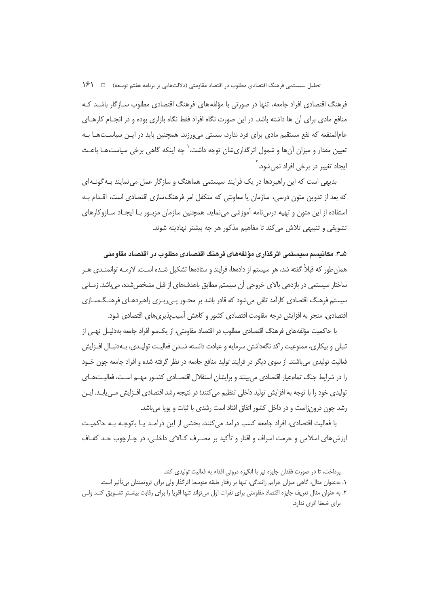فرهنگ اقتصادی افراد جامعه، تنها در صورتی با مؤلفههای فرهنگ اقتصادی مطلوب سـازگار باشـد کـه منافع مادی برای آن ها داشته باشد. در این صورت نگاه افراد فقط نگاه بازاری بوده و در انجـام کارهـای عامالمنفعه که نفع مستقیم مادی برای فرد ندارد، سستی می ورزند. همچنین باید در ایـن سیاسـتهـا بـه تعیین مقدار و میزان آنها و شمول اثرگذاریشان توجه داشت.<sup>\</sup> چه اینکه گاهی برخی سیاستهـا باعـث ایجاد تغییر در برخی افراد نمیشود. ٔ

بدیهی است که این راهبردها در یک فرایند سیستمی هماهنگ و سازگار عمل می نمایند بـه گونـهای که بعد از تدوین متون درسی، سازمان یا معاونتی که متکفل امر فرهنگ سازی اقتصادی است، اقـدام بـه استفاده از این متون و تهیه درسiامه آموزشی مینماید. همچنین سازمان مزبـور بـا ایجـاد سـازوکارهای تشویقی و تنبیهی تلاش می کند تا مفاهیم مذکور هر چه بیشتر نهادینه شوند.

۵ـ۳. مکاننسم سنستمی اثر گذاری مؤلفههای فرهنگ اقتصادی مطلوب در اقتصاد مقاومتی همان طور که قبلاً گفته شد، هر سیستم از دادهها، فرایند و ستادهها تشکیل شـده اسـت. لازمـه توانمنـدی هـر ساختار سیستمی در بازدهی بالای خروجی آن سیستم مطابق باهدفهای از قبل مشخص شده، میباشد. زمـانی سیستم فرهنگ اقتصادی کارآمد تلقی می شود که قادر باشد بر محــور یــی ریــزی راهبردهــای فرهنــگ<code>ســازی</code> اقتصادی، منجر به افزایش درجه مقاومت اقتصادی کشور و کاهش آسیبیذیری های اقتصادی شود.

با حاکمیت مؤلفههای فرهنگ اقتصادی مطلوب در اقتصاد مقاومتی، از یکسو افراد جامعه بهدلیـل نهـی از تنبلي و بيكاري، ممنوعيت راكد نگهداشتن سرمايه و عبادت دانسته شــدن فعاليـت توليـدي، بــهدنبـال افــزايش فعالیت تولیدی می باشند. از سوی دیگر در فرایند تولید منافع جامعه در نظر گرفته شده و افراد جامعه چون خـود را در شرایط جنگ تمامعیار اقتصادی می بینند و برایشان استقلال اقتصـادی کشـور مهـم اسـت، فعالیـتهـای تولیدی خود را با توجه به افزایش تولید داخلی تنظیم می کنند؛ در نتیجه رشد اقتصادی افــزایش مــیLیابـد. ایــن رشد چون درون;است و در داخل کشور اتفاق افتاد است رشدی با ثبات و یویا می باشد.

با فعالیت اقتصادی، افراد جامعه کسب درآمد می کنند، بخشی از این درآمـد یـا باتوجـه بـه حاکمیـت ارزش های اسلامی و حرمت اسراف و اقتار و تأکید بر مصـرف کـالای داخلـی، در چـارچوب حـد کفـاف

يرداخت، تا در صورت فقدان جايزه نيز با انگيزه دروني اقدام به فعاليت توليدي كند.

۱. بهعنوان مثال، گاهی میزان جرایم رانندگی، تنها بر رفتار طبقه متوسط اثرگذار ولی برای ثروتمندان بی¤أثیر است.

۲. به عنوان مثال تعریف جایزه اقتصاد مقاومتی برای نفرات اول می تواند تنها اقویا را برای رقابت بیشــتر تشــویق کنــد ولــی برای ضعفا اثری ندارد.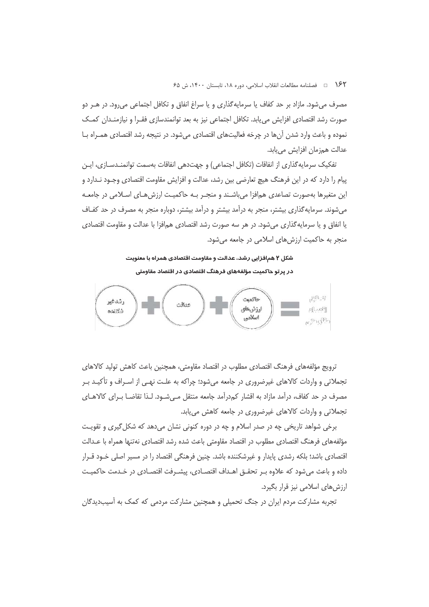1 ⁄7 فصلنامه مطالعات انقلاب اسلامي، دوره ١٨، تابستان ١۴٠٠، ش ۶۵

مصرف می شود. مازاد بر حد کفاف یا سرمایه گذاری و یا سراغ انفاق و تکافل اجتماعی می رود. در هـر دو صورت رشد اقتصادی افزایش می،یابد. تکافل اجتماعی نیز به بعد توانمندسازی فقـرا و نیازمنـدان کمـک نموده و باعث وارد شدن آنها در چرخه فعالیتهای اقتصادی می شود. در نتیجه رشد اقتصادی همـراه بـا عدالت همزمان افزایش م<u>ی ی</u>ابد.

تفكيك سرمايه گذاري از انفاقات (تكافل اجتماعي) و جهتدهي انفاقات بهسمت توانمنـدسـازي، ايـن پیام را دارد که در این فرهنگ هیچ تعارضی بین رشد، عدالت و افزایش مقاومت اقتصادی وجـود نـدارد و این متغیرها بهصورت تصاعدی همافزا می باشـند و منجـر بـه حاکمیـت ارزش هـای اسـلامی در جامعـه می شوند. سرمایه گذاری بیشتر، منجر به درآمد بیشتر و درآمد بیشتر، دوباره منجر به مصرف در حد کفـاف یا انفاق و یا سرمایه گذاری می شود. در هر سه صورت رشد اقتصادی همافزا با عدالت و مقاومت اقتصادی منجر به حاکمیت ارزش های اسلامی در جامعه می شود.

شکل ۲ همافزایی رشد، عدالت و مقاومت اقتصادی همراه با معنویت در پرتو حاکمیت مؤلفههای فرهنگ اقتصادی در اقتصاد مقاومتی



ترويج مؤلفههاي فرهنگ اقتصادي مطلوب در اقتصاد مقاومتي، همچنين باعث كاهش توليد كالاهاي تجملاتی و واردات کالاهای غیرضروری در جامعه میشود؛ چراکه به علـت نهــ ، از اسـراف و تأکیـد بـر مصرف در حد کفاف، درآمد مازاد به اقشار کم،درآمد جامعه منتقل مـیشـود. لـذا تقاضــا بــرای کالاهــای تجملاتی و واردات کالاهای غیرضروری در جامعه کاهش می یابد.

برخي شواهد تاريخي چه در صدر اسلام و چه در دوره کنوني نشان مي دهد که شکل گيري و تقويت مؤلفههای فرهنگ اقتصادی مطلوب در اقتصاد مقاومتی باعث شده رشد اقتصادی نهتنها همراه با عـدالت اقتصادی باشد؛ بلکه رشدی پایدار و غیرشکننده باشد. چنین فرهنگی اقتصاد را در مسیر اصلی خـود قـرار داده و باعث میشود که علاوه بـر تحقـق اهـداف اقتصـادی، پیشـرفت اقتصـادی در خـدمت حاکمیـت ارزش های اسلامی نیز قرار بگیرد.

تجربه مشارکت مردم ایران در جنگ تحمیلی و همچنین مشارکت مردمی که کمک به آسیبدیدگان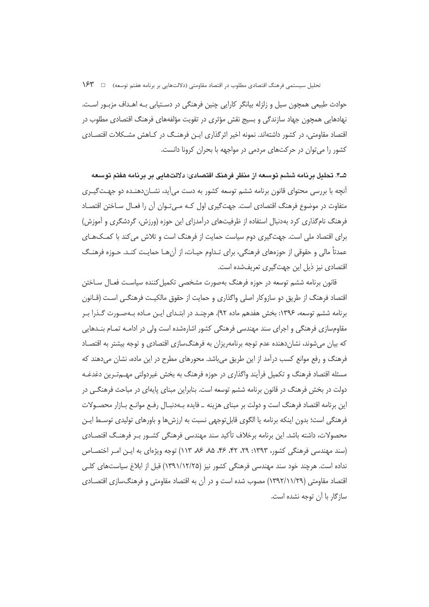حوادث طبیعی همچون سیل و زلزله بیانگر کارایی چنین فرهنگی در دسـتیابی بـه اهـداف مزبـور اسـت. نهادهایی همچون جهاد سازندگی و بسیج نقش مؤثری در تقویت مؤلفههای فرهنگ اقتصادی مطلوب در اقتصاد مقاومتی، در کشور داشتهاند. نمونه اخیر اثرگذاری ایـن فرهنـگ در کـاهش مشـکلات اقتصـادی کشور را می توان در حرکتهای مردمی در مواجهه با بحران کرونا دانست.

۵ـ۴. تحليل بر نامه ششم توسعه از منظر فرهنگ اقتصادی: دلالتهایی بر بر نامه هفتم توسعه آنچه با بررسی محتوای قانون برنامه ششم توسعه کشور به دست میآید، نشـاندهنـده دو جهـتگيـری متفاوت در موضوع فرهنگ اقتصادی است. جهت گیری اول کـه مـی تـوان آن را فعـال سـاختن اقتصـاد فرهنگ نام گذاری کرد بهدنبال استفاده از ظرفیتهای درآمدزای این حوزه (ورزش، گردشگری و آموزش) برای اقتصاد ملی است. جهت گیری دوم سیاست حمایت از فرهنگ است و تلاش می کند با کمـک&ـای عمدتاً مالی و حقوقی از حوزههای فرهنگی، برای تـداوم حیـات، از آنهـا حمایـت کنـد. حـوزه فرهنـگ اقتصادی نیز ذیل این جهت گیری تعریفشده است.

قانون برنامه ششم توسعه در حوزه فرهنگ بهصورت مشخصی تکمیل کننده سیاست فعـال سـاختن اقتصاد فرهنگ از طریق دو سازوکار اصلی واگذاری و حمایت از حقوق مالکیـت فرهنگـی اسـت (قــانون برنامه ششم توسعه، ۱۳۹۶: بخش هفدهم ماده ۹۲). هرچنـد در ابتـدای ایـن مـاده بـهصـورت گـذرا بـر مقاومسازی فرهنگی و اجرای سند مهندسی فرهنگی کشور اشارهشده است ولی در ادامـه تمـام بنــدهایی که بیان میشوند، نشاندهنده عدم توجه برنامهریزان به فرهنگسازی اقتصادی و توجه بیشتر به اقتصـاد فرهنگ و رفع موانع کسب درآمد از این طریق می باشد. محورهای مطرح در این ماده، نشان می دهند که مسئله اقتصاد فرهنگ و تکمیل فراًیند واگذاری در حوزه فرهنگ به بخش غیردولتی مهــمتـرین دغدغــه دولت در بخش فرهنگ در قانون برنامه ششم توسعه است. بنابراین مبنای پایهای در مباحث فرهنگی در این برنامه اقتصاد فرهنگ است و دولت بر مبنای هزینه \_ فایده بـهدنبـال رفـع موانـع بـازار محصـولات فرهنگی است؛ بدون اینکه برنامه یا الگوی قابل توجهی نسبت به ارزش ها و باورهای تولیدی توسـط ایـن محصولات، داشته باشد. این برنامه برخلاف تأکید سند مهندسی فرهنگی کشــور بــر فرهنـگ اقتصــادی (سند مهندسی فرهنگی کشور، ۱۳۹۳: ۲۹، ۴۲، ۴۶، ۸۵، ۸۶، ۱۱۳) توجه ویژهای به ایـن امـر اختصـاص نداده است. هرچند خود سند مهندسی فرهنگی کشور نیز (۱۲/۱۲/۲۵) قبل از ابلاغ سیاستهای کلـی اقتصاد مقاومتی (۱۲۹۲/۱۱/۲۹) مصوب شده است و در آن به اقتصاد مقاومتی و فرهنگ سازی اقتصـادی ساز گار با آن توجه نشده است.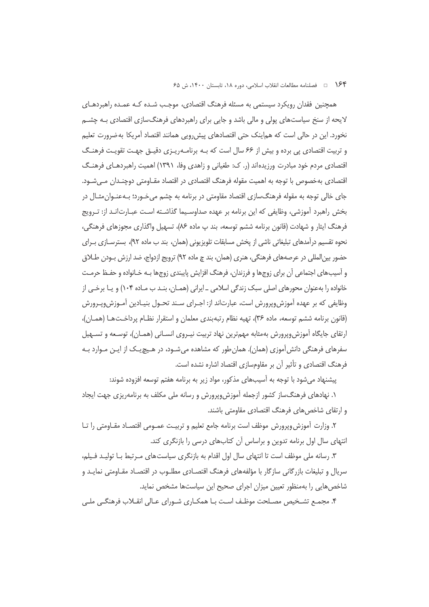۱۶۴ = فصلنامه مطالعات انقلاب اسلامی، دوره ۱۸، تابستان ۱۴۰۰، ش ۶۵

همچنین فقدان رویکرد سیستمی به مسئله فرهنگ اقتصادی، موجـب شـده کـه عمـده راهبردهـای لایحه از سنخ سیاستهای پولی و مالی باشد و جایی برای راهبردهای فرهنگسازی اقتصادی بـه چشــم نخورد. این در حالی است که هماینک حتی اقتصادهای پیش٫رویی همانند اقتصاد آمریکا به ضرورت تعلیم و تربیت اقتصادی پی برده و بیش از ۶۶ سال است که بـه برنامـهریـزی دقیـق جهـت تقویـت فرهنـگ اقتصادی مردم خود مبادرت ورزیدهاند (ر. ک: طغیانی و زاهدی وفا، ۱۳۹۱) اهمیت راهبردهـای فرهنـگ اقتصادی بهخصوص با توجه به اهمیت مقوله فرهنگ اقتصادی در اقتصاد مقـاومتی دوچنـدان مـیشـود. جای خالی توجه به مقوله فرهنگسازی اقتصاد مقاومتی در برنامه به چشم می خــورد؛ بــهعنــوان مثــال در بخش راهبرد آموزشی، وظایفی که این برنامه بر عهده صداوسـیما گذاشـته اسـت عبـارت|نـد از: تـرویج فرهنگ ایثار و شهادت (قانون برنامه ششم توسعه، بند پ ماده ۸۶)، تسهیل واگذاری مجوزهای فرهنگی، نحوه تقسیم درآمدهای تبلیغاتی ناشی از یخش مسابقات تلویزیونی (همان، بند ب ماده ۹۲)، بسترسـازی بـرای حضور بين|لمللي در عرصههاي فرهنگي، هنري (همان، بند چ ماده ٩٢) ترويج ازدواج، ضد ارزش بـودن طــلاق و آسیبهای اجتماعی آن برای زوجها و فرزندان، فرهنگ افزایش پایبندی زوجها بـه خـانواده و حفـظ حرمـت خانواده را بهعنوان محورهای اصلی سبک زندگی اسلامی \_ایرانی (همـان، بنـد ب مـاده ۱۰۴) و یـا برخـی از وظایفی که بر عهده آموزشeپرورش است، عبارتاند از: اجـرای سـند تحـول بنیـادین آمـوزشeپـرورش (قانون برنامه ششم توسعه، ماده ۳۶)، تهیه نظام رتبهبندی معلمان و استقرار نظـام پرداخـتهـا (همـان)، ارتقای جایگاه آموزش وپرورش به مثابه مهم ترین نهاد تربیت نیـروی انسـانی (همـان)، توسـعه و تسـهیل سفرهای فرهنگی دانش آموزی (همان). همان طور که مشاهده میشـود، در هـیچ یـک از ایـن مـوارد بـه فرهنگ اقتصادی و تأثیر آن بر مقاومسازی اقتصاد اشاره نشده است.

پیشنهاد می شود با توجه به آسیبهای مذکور، مواد زیر به برنامه هفتم توسعه افزوده شوند:

۱. نهادهای فرهنگساز کشور ازجمله آموزش٬وپرورش و رسانه ملی مکلف به برنامهریزی جهت ایجاد و ارتقای شاخص های فرهنگ اقتصادی مقاومتی باشند.

۲. وزارت آموزش وپرورش موظف است برنامه جامع تعلیم و تربیـت عمـومی اقتصـاد مقـاومتی را تـا انتهای سال اول برنامه تدوین و براساس آن کتابهای درسی را بازنگری کند.

۳. رسانه ملی موظف است تا انتهای سال اول اقدام به بازنگری سیاست های مـرتبط بـا تولیـد فـیلم، سریال و تبلیغات بازرگانی سازگار با مؤلفههای فرهنگ اقتصـادی مطلـوب در اقتصـاد مقـاومتی نمایـد و شاخص هایی را بهمنظور تعیین میزان اجرای صحیح این سیاستها مشخص نماید.

۴. مجمـع تشـخیص مصـلحت موظـف اسـت بـا همکـاری شـورای عـالی انقـلاب فرهنگـی ملـی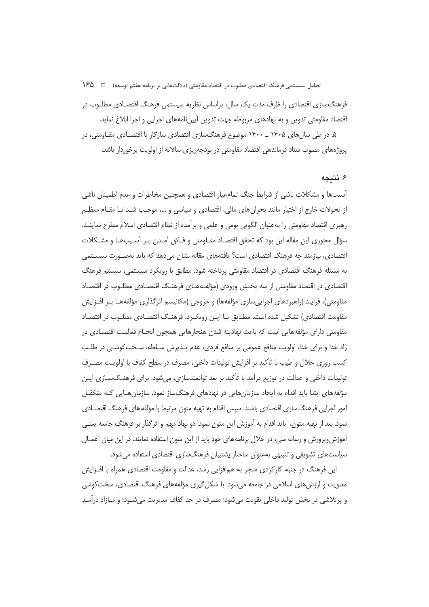تحلیل سیستمی فرهنگ اقتصادی مطلوب در اقتصاد مقاومتی (دلالتهایی بر برنامه هفتم توسعه) = 1 16⁄2

فرهنگ<code>سازی</code> اقتصادی را ظرف مدت یک سال، براساس نظریه سیستمی فرهنگ اقتصـادی مطلـوب در اقتصاد مقاومتی تدوین و به نهادهای مربوطه جهت تدوین اَپیننامههای اجرایی و اجرا ابلاغ نماید.

۵. در طی سال های ۱۴۰۵ ـ ۱۴۰۰ موضوع فرهنگسازی اقتصادی سازگار با اقتصـادی مقـاومتی، در پروژههای مصوب ستاد فرماندهی اقتصاد مقاومتی در بودجهریزی سالانه از اولویت برخوردار باشد.

#### ۶. نتىجە

آسیبها و مشکلات ناشی از شرایط جنگ تمامعیار اقتصادی و همچنین مخاطرات و عدم اطمینان ناشی از تحولات خارج از اختیار مانند بحرانهای مالی، اقتصادی و سیاسی و …، موجـب شـد تـا مقـام معظـم رهبري اقتصاد مقاومتي را بهعنوان الگويي بومي و علمي و برآمده از نظام اقتصادي اسلام مطرح نماينـد. سؤال محوری این مقاله این بود که تحقق اقتصـاد مقـاومتی و فـائق آمـدن بـر آسـیبهـا و مشـکلات اقتصادی، نیازمند چه فرهنگ اقتصادی است؟ یافتههای مقاله نشان میدهد که باید بهصورت سیستمی به مسئله فرهنگ اقتصادی در اقتصاد مقاومتی پرداخته شود. مطابق با رویکرد سیستمی، سیستم فرهنگ اقتصادی در اقتصاد مقاومتی از سه بخش ورودی (مؤلف4هـای فرهنـگ اقتصـادی مطلـوب در اقتصـاد مقاومتی)، فرایند (راهبردهای اجراییسازی مؤلفهها) و خروجی (مکانیسم اثرگذاری مؤلفههـا بـر افــزایش مقاومت اقتصادی) تشکیل شده است. مطـابق بـا ایــن رویکــرد، فرهنــگ اقتصــادی مطلــوب در اقتصــاد مقاومتی دارای مؤلفههایی است که باعث نهادینه شدن هنجارهایی همچون انجـام فعالیـت اقتصـادی در راه خدا و برای خدا، اولویت منافع عمومی بر منافع فردی، عدم پـذیرش سـلطه، سـخت کوشـی در طلـب کسب روزی حلال و طیب با تأکید بر افزایش تولیدات داخلی، مصرف در سطح کفاف با اولویت مصـرف تولیدات داخلی و عدالت در توزیع درآمد با تأکید بر بعد توانمندسازی، می شود. برای فرهنـگ<code>سـازی</code> ایـن مؤلفههای ابتدا باید اقدام به ایجاد سازمانهایی در نهادهای فرهنگساز نمود. سازمان هـایی کـه متکفـل امور اجرایی فرهنگ سازی اقتصادی باشند. سپس اقدام به تهیه متون مرتبط با مؤلفه های فرهنگ اقتصــادی نمود. بعد از تهیه متون، باید اقدام به آموزش این متون نمود. دو نهاد مهم و اثرگذار بر فرهنگ جامعه یعنـی آموزش وپرورش و رسانه ملی، در خلال برنامههای خود باید از این متون استفاده نمایند. در این میان اعمـال سیاستهای تشویقی و تنبیهی بهعنوان ساختار پشتیبان فرهنگسازی اقتصادی استفاده می شود.

این فرهنگ در جنبه کارکردی منجر به همافزایی رشد، عدالت و مقاومت اقتصادی همراه با افـزایش معنویت و ارزش های اسلامی در جامعه می شود. با شکل گیری مؤلفههای فرهنگ اقتصادی، سخت کوشی و پرتلاشی در بخش تولید داخلی تقویت میشود؛ مصرف در حد کفاف مدیریت میشـود؛ و مـازاد درآمـد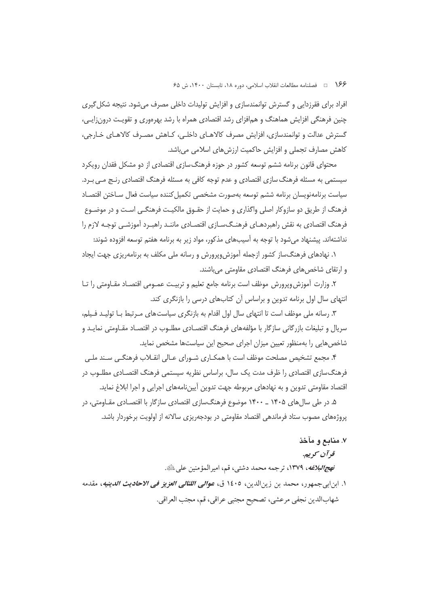۱۶۶ هـ فصلنامه مطالعات انقلاب اسلامي، دوره ۱۸، تابستان ۱۴۰۰، ش ۶۵

افراد برای فقرزدایی و گسترش توانمندسازی و افزایش تولیدات داخلی مصرف میشود. نتیجه شکل گیری چنین فرهنگی افزایش هماهنگ و همافزای رشد اقتصادی همراه با رشد بهرهوری و تقویت درون;ایی، گسترش عدالت و توانمندسازی، افزایش مصرف کالاهـای داخلـی، کـاهش مصـرف کالاهـای خـارجی، كاهش مصارف تجملي و افزايش حاكميت ارزشهاى اسلامى مىباشد.

محتوای قانون برنامه ششم توسعه کشور در حوزه فرهنگ سازی اقتصادی از دو مشکل فقدان رویکرد سیستمی به مسئله فرهنگ سازی اقتصادی و عدم توجه کافی به مسئله فرهنگ اقتصادی رنـج مـی بـرد. سياست برنامهنويسان برنامه ششم توسعه بهصورت مشخصى تكميل كننده سياست فعال سـاختن اقتصـاد فرهنگ از طریق دو سازوکار اصلی واگذاری و حمایت از حقـوق مالکیـت فرهنگـی اسـت و در موضـوع فرهنگ اقتصادی به نقش راهبردهـای فرهنـگسـازی اقتصـادی ماننـد راهبـرد آموزشـی توجـه لازم را نداشتهاند. پیشنهاد می شود با توجه به آسیبهای مذکور، مواد زیر به برنامه هفتم توسعه افزوده شوند:

۱. نهادهای فرهنگساز کشور ازجمله آموزش٬وپرورش و رسانه ملی مکلف به برنامهریزی جهت ایجاد و ارتقای شاخصهای فرهنگ اقتصادی مقاومتی میباشند.

۲. وزارت آموزش وپرورش موظف است برنامه جامع تعليم و تربيـت عمــومي اقتصــاد مقــاومتي را تــا انتهای سال اول برنامه تدوین و براساس آن کتابهای درسی را بازنگری کند.

۳. رسانه ملی موظف است تا انتهای سال اول اقدام به بازنگری سیاستهای مـرتبط بـا تولیـد فـیلم، سریال و تبلیغات بازرگانی سازگار با مؤلفههای فرهنگ اقتصـادی مطلـوب در اقتصـاد مقـاومتی نمایـد و شاخص هایی را بهمنظور تعیین میزان اجرای صحیح این سیاستها مشخص نماید.

۴. مجمع تشخیص مصلحت موظف است با همکـاری شـورای عـالی انقـلاب فرهنگـی سـند ملـی فرهنگسازی اقتصادی را ظرف مدت یک سال، براساس نظریه سیستمی فرهنگ اقتصـادی مطلــوب در اقتصاد مقاومتی تدوین و به نهادهای مربوطه جهت تدوین اَپیننامههای اجرایی و اجرا ابلاغ نماید.

۵. در طی سال های ۱۴۰۵ ـ ۱۴۰۰ موضوع فرهنگسازی اقتصادی سازگار با اقتصـادی مقـاومتی، در پروژههای مصوب ستاد فرماندهی اقتصاد مقاومتی در بودجهریزی سالانه از اولویت برخوردار باشد.

#### ٧. منابع و مآخذ

#### قو آن سمويه.

*نهج|لبلاغه*، ١٣٧٩، ترجمه محمد دشتي، قم، اميرالمؤمنين على ﷺ.

١. ابن|بيجمهور، محمد بن زين|لدين، ١٤٠٥ ق، *عوالي اللئالي العزيز في الاحاديث الدينيه*، مقدمه شهابالدين نجفي مرعشي، تصحيح مجتبي عراقي، قم، مجتب العراقي.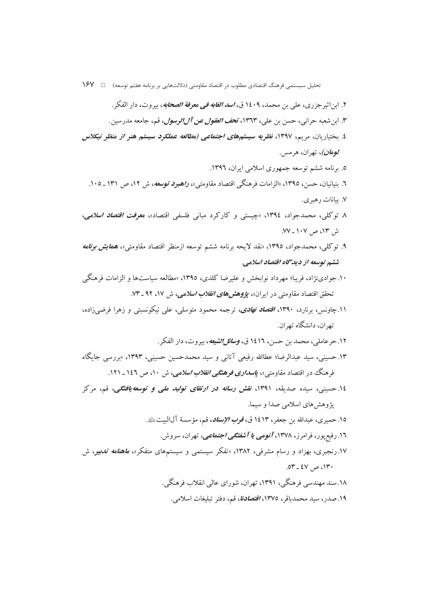- ۲. ابن اثیر جز ری، علی بن محمد، ۱٤۰۹ ق، *اسد الغابه فی معرفة الصحابه*، بیروت، دار الفكر . ٣. ابن شعبه حراني، حسن بن علي، ١٣٦٣، تح*ف العقول عن آلالوسول*، قم، جامعه مدرسين. ٤. بختیاریان، مریم، ١٣٩٧، *نظریه سیستمهای اجتماعی (مطالعه عملکود سیستم هنو از منظو نیکلاس* **/ومان)**، تهران، هرمس. ۵. برنامه ششم توسعه جمهوری اسلامی ایران، ۱۳۹٦. ٦. بنیانیان، حسن، ١٣٩٥، «الزامات فرهنگی اقتصاد مقاومتی»، *راهبود توسعه*، ش ١٢، ص ١٣١ ـ ١٠٥. ۷. بیانات رهبری. ۸ توکلی، محمدجواد، ۱۳۹٤، «چیستی و کارکرد مبانی فلسفی اقتصاد»، م*عرفت اقتصاد اسلامی*، ش ۱۳، ص ۱۰۷ ـ ۷۷. ۹. توکلی، محمدجواد، ۱۳۹٥، «نقد لایحه برنامه ششم توسعه ازمنظر اقتصاد مقاومتی»، هم*ایش برنامه* ششم توسعه از دیدگاه اقتصاد اسلامی. ۱۰. جوادینژاد، فریبا؛ مهرداد نوابخش و علیرضا کلدی، ۱۳۹۵، «مطالعه سیاستها و الزامات فرهنگم <sub>،</sub> تحقق اقتصاد مقاومتی در ایران»، *پژوهشهای انقلاب اسلامی*، ش ۱۷، ۹۲ ـ ۷۳. ۱۱.چاونس، برنارد، ۱۳۹۰، *اقتصاد نهادی*، ترجمه محمود متوسل<sub>ی</sub>، علی نیکونسبتی و زهرا فرضی(اده، تھ ان، دانشگاه تھ ان. ۱۲. حر عاملي، محمد بن حسن، ۱٤۱٦ ق، *وسائل الشيعه*، بيروت، دار الفكر . ۱۳. حسینی، سید عبدالرضا؛ عطاالله رفیعی آتانی و سید محمدحسین حسینی، ۱۳۹۳، «بررسی جایگاه فرهنگ در اقتصاد مقاومتی»، *پاسداری فرهنگی انقلاب اسلامی، ش ۱۰، ص ۱٤*۲ ـ ۱۲۱. ۱٤. حسینی، سیده صدیقه، ۱۳۹۱، *نقش رسانه در ارتقای تولید ملی و توسعه یافتگی*، قم، مرکز پژوهش های اسلامی صدا و سیما. ١٥. حميري، عبدالله بن جعفر، ١٤١٣ ق، *قوب الإسناد*، قم، مؤسسة آلالبيتﷺ. ۱۲. رفیع پور، فرامرز، ۱۳۷۸، *آنومی یا آشفتگی اجتماعی*، تهران، سروش. ۱۷.رنجبری، بهزاد و رسام مشرفی، ۱۳۸۲، «تفکر سیستمی و سیستمهای متفکر»، *ماهنامه تدبی*ر، ش .0۳ -  $2V$  -  $6V$ ۱۸.سند مهندسی فرهنگی، ۱۳۹۱، تهران، شورای عالی انقلاب فرهنگی.
	- ۱۹. صدر، سید محمدباقر، ۱۳۷۵، *اقتصادنا*، قم، دفتر تبلیغات اسلامی.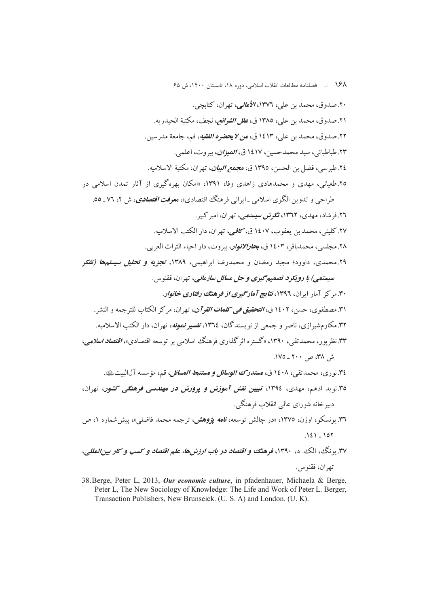۱۶۸ = فصلنامه مطالعات انقلاب اسلامی، دوره ۱۸، تابستان ۱۴۰۰، ش ۶۵

۲۰. صدوق، محمد بن علي، ۱۳۷۲، *الأمالي،* تهران، كتابچي. ٢١. صدوق، محمد بن علي، ١٣٨٥ ق، *علل الشرائع،* نجف، مكتبة الحيدر به. ۲۲. صدوق، محمد بن علي، ۱٤۱۳ ق، *من لايحضوه الفقيه*، قم، جامعة مدرسين. ۲۳. طباطبائی، سید محمدحسین، ۱۶۱۷ ق، *المیزان*، بیروت، اعلمی. ٢٤. طبر سي، فضل بن الحسن، ١٣٩٥ ق، مجم*ع البيان*، تهران، مكتبة الاسلاميه. ۲۵.طغیانی، مهدی و محمدهادی زاهدی وفا، ۱۳۹۱، «امکان بهرهگیری از آثار تمدن اسلامی در

طراحی و تدوین الگوی اسلامی ـایرانی فرهنگ اقتصادی»، م*عوفت اقتصادی*، ش ۲، ۷۲ ـ ٥٥. ۲٦. فرشاد، مهدی، ۱۳٦۲، ت*گرش سیستمی،* تهران، امیر کبیر. ٢٧. كليني، محمد بن يعقوب، ١٤٠٧ ق، كلفي، تهران، دار الكتب الاسلاميه. ٢٨. مجلسي، محمدباقر، ١٤٠٣ ق، مجارالانوار، بيروت، دار احياء التراث العربي. ۲۹.محمدی، داوود؛ مجید رمضان و محمدرضا ابراهیمی، ۱۳۸۹، تجزی*ه و تحلیل سیستمها (تفک*ر

سيستمي) با رويكرد تصميم گيري و حل مسائل سازماني، تهران، ققنوس. ۳۰. مرکز آمار ایران، ۱۳۹۶، *نتایج آمارگیری از فرهنگ رفتاری خانوار.* ٣١. مصطفوي، حسن، ١٤٠٢ ق، *التحقيق في كلمات القرآن*، تهران، مركز الكتاب للترجمه و النشر. ۳۲. مکارمشیرازی، ناصر و جمعی از نویسندگان، ۱۳۶٤، تفسیر *نمونه*، تهران، دار الکتب الاسلامیه. ۳۳. نظر یو ر، محمدتقی، ۱۳۹۰، «گستره اثر گذاری فرهنگ اسلامی بر توسعه اقتصادی»، *اقتصاد اسلامی*، ش ۳۸ ص ۲۰۰ ـ ۱۷۵.

٣٤. نوري، محمد تقي، ١٤٠٨ ق، م**س***تدرک الوسائل و مستنبط المسائل***، ق**م، مؤسسه آل|لبيتﷺ. ۳۵.نوید ادهم، مهدی، ۱۳۹٤، تبیین نقش آموزش و پرورش در مهندسی فرهنگی کشور، تهران، دسرخانه شورای عالی انقلاب فرهنگی.

٣٦. يونسكو، اوژن، ١٣٧٥، «در چالش توسعه، *نامه يۋوهش،* ترجمه محمد فاضلي»، پيش شماره ١، ص  $121 - 107$ 

۳۷. بو نگ، الک. د، ۱۳۹۰، فرهنگ و اقتصاد در باب ارزش ها، علم اقتصاد و کسب و کار بین المللی، تهران، ققنو س.

38. Berge, Peter L, 2013, Our economic culture, in pfadenhauer, Michaela & Berge, Peter L, The New Sociology of Knowledge: The Life and Work of Peter L. Berger, Transaction Publishers, New Brunseick. (U. S. A) and London. (U. K).